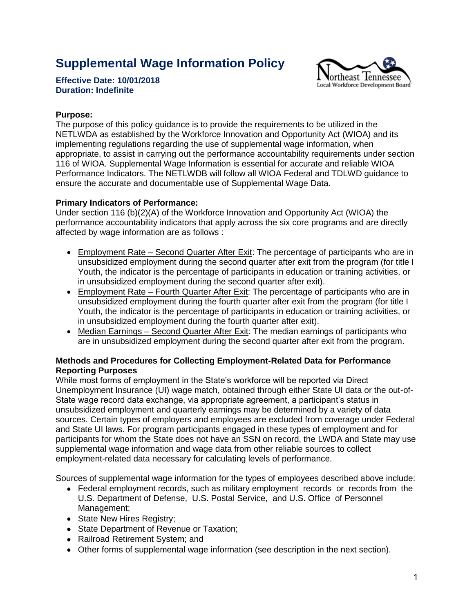# **Supplemental Wage Information Policy**



#### **Effective Date: 10/01/2018 Duration: Indefinite**

# **Purpose:**

The purpose of this policy guidance is to provide the requirements to be utilized in the NETLWDA as established by the Workforce Innovation and Opportunity Act (WIOA) and its implementing regulations regarding the use of supplemental wage information, when appropriate, to assist in carrying out the performance accountability requirements under section 116 of WIOA. Supplemental Wage Information is essential for accurate and reliable WIOA Performance Indicators. The NETLWDB will follow all WIOA Federal and TDLWD guidance to ensure the accurate and documentable use of Supplemental Wage Data.

## **Primary Indicators of Performance:**

Under section 116 (b)(2)(A) of the Workforce Innovation and Opportunity Act (WIOA) the performance accountability indicators that apply across the six core programs and are directly affected by wage information are as follows :

- Employment Rate Second Quarter After Exit: The percentage of participants who are in unsubsidized employment during the second quarter after exit from the program (for title I Youth, the indicator is the percentage of participants in education or training activities, or in unsubsidized employment during the second quarter after exit).
- Employment Rate Fourth Quarter After Exit: The percentage of participants who are in unsubsidized employment during the fourth quarter after exit from the program (for title I Youth, the indicator is the percentage of participants in education or training activities, or in unsubsidized employment during the fourth quarter after exit).
- Median Earnings Second Quarter After Exit: The median earnings of participants who are in unsubsidized employment during the second quarter after exit from the program.

## **Methods and Procedures for Collecting Employment-Related Data for Performance Reporting Purposes**

While most forms of employment in the State's workforce will be reported via Direct Unemployment Insurance (UI) wage match, obtained through either State UI data or the out-of-State wage record data exchange, via appropriate agreement, a participant's status in unsubsidized employment and quarterly earnings may be determined by a variety of data sources. Certain types of employers and employees are excluded from coverage under Federal and State UI laws. For program participants engaged in these types of employment and for participants for whom the State does not have an SSN on record, the LWDA and State may use supplemental wage information and wage data from other reliable sources to collect employment-related data necessary for calculating levels of performance.

Sources of supplemental wage information for the types of employees described above include:

- Federal employment records, such as military employment records or records from the U.S. Department of Defense, U.S. Postal Service, and U.S. Office of Personnel Management;
- State New Hires Registry;
- State Department of Revenue or Taxation;
- Railroad Retirement System; and
- Other forms of supplemental wage information (see description in the next section).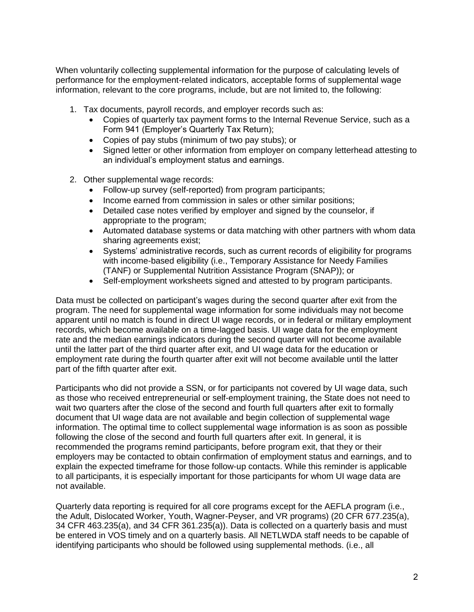When voluntarily collecting supplemental information for the purpose of calculating levels of performance for the employment-related indicators, acceptable forms of supplemental wage information, relevant to the core programs, include, but are not limited to, the following:

- 1. Tax documents, payroll records, and employer records such as:
	- Copies of quarterly tax payment forms to the Internal Revenue Service, such as a Form 941 (Employer's Quarterly Tax Return);
	- Copies of pay stubs (minimum of two pay stubs); or
	- Signed letter or other information from employer on company letterhead attesting to an individual's employment status and earnings.
- 2. Other supplemental wage records:
	- Follow-up survey (self-reported) from program participants;
	- Income earned from commission in sales or other similar positions;
	- Detailed case notes verified by employer and signed by the counselor, if appropriate to the program;
	- Automated database systems or data matching with other partners with whom data sharing agreements exist;
	- Systems' administrative records, such as current records of eligibility for programs with income-based eligibility (i.e., Temporary Assistance for Needy Families (TANF) or Supplemental Nutrition Assistance Program (SNAP)); or
	- Self-employment worksheets signed and attested to by program participants.

Data must be collected on participant's wages during the second quarter after exit from the program. The need for supplemental wage information for some individuals may not become apparent until no match is found in direct UI wage records, or in federal or military employment records, which become available on a time-lagged basis. UI wage data for the employment rate and the median earnings indicators during the second quarter will not become available until the latter part of the third quarter after exit, and UI wage data for the education or employment rate during the fourth quarter after exit will not become available until the latter part of the fifth quarter after exit.

Participants who did not provide a SSN, or for participants not covered by UI wage data, such as those who received entrepreneurial or self-employment training, the State does not need to wait two quarters after the close of the second and fourth full quarters after exit to formally document that UI wage data are not available and begin collection of supplemental wage information. The optimal time to collect supplemental wage information is as soon as possible following the close of the second and fourth full quarters after exit. In general, it is recommended the programs remind participants, before program exit, that they or their employers may be contacted to obtain confirmation of employment status and earnings, and to explain the expected timeframe for those follow-up contacts. While this reminder is applicable to all participants, it is especially important for those participants for whom UI wage data are not available.

Quarterly data reporting is required for all core programs except for the AEFLA program (i.e., the Adult, Dislocated Worker, Youth, Wagner-Peyser, and VR programs) (20 CFR 677.235(a), 34 CFR 463.235(a), and 34 CFR 361.235(a)). Data is collected on a quarterly basis and must be entered in VOS timely and on a quarterly basis. All NETLWDA staff needs to be capable of identifying participants who should be followed using supplemental methods. (i.e., all